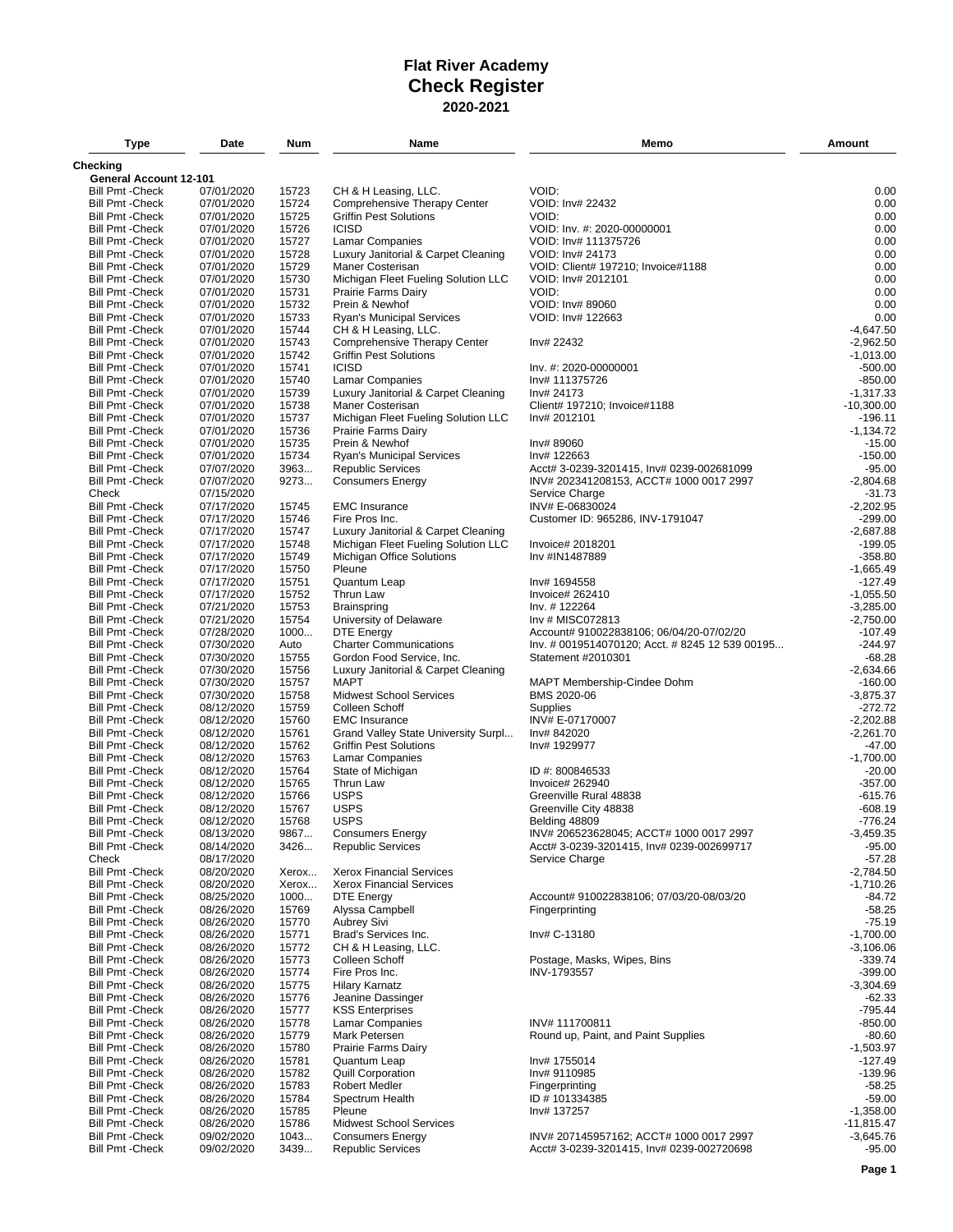| <b>Type</b>             | Date       | Num   | Name                                | Memo                                            | Amount       |
|-------------------------|------------|-------|-------------------------------------|-------------------------------------------------|--------------|
| Checking                |            |       |                                     |                                                 |              |
| General Account 12-101  |            |       |                                     |                                                 |              |
| <b>Bill Pmt - Check</b> | 07/01/2020 | 15723 | CH & H Leasing, LLC.                | VOID:                                           | 0.00         |
| <b>Bill Pmt - Check</b> | 07/01/2020 | 15724 | Comprehensive Therapy Center        | VOID: Inv# 22432                                | 0.00         |
| <b>Bill Pmt - Check</b> | 07/01/2020 | 15725 | <b>Griffin Pest Solutions</b>       | VOID:                                           | 0.00         |
| <b>Bill Pmt - Check</b> | 07/01/2020 | 15726 | <b>ICISD</b>                        | VOID: Inv. #: 2020-00000001                     | 0.00         |
| <b>Bill Pmt - Check</b> | 07/01/2020 | 15727 | <b>Lamar Companies</b>              | VOID: Inv# 111375726                            | 0.00         |
| <b>Bill Pmt - Check</b> | 07/01/2020 | 15728 | Luxury Janitorial & Carpet Cleaning | VOID: Inv# 24173                                | 0.00         |
| <b>Bill Pmt - Check</b> | 07/01/2020 | 15729 | Maner Costerisan                    | VOID: Client# 197210; Invoice#1188              | 0.00         |
| <b>Bill Pmt - Check</b> | 07/01/2020 | 15730 | Michigan Fleet Fueling Solution LLC | VOID: Inv# 2012101                              | 0.00         |
| <b>Bill Pmt - Check</b> | 07/01/2020 | 15731 | <b>Prairie Farms Dairy</b>          | VOID:                                           | 0.00         |
| <b>Bill Pmt - Check</b> | 07/01/2020 | 15732 | Prein & Newhof                      | VOID: Inv# 89060                                | 0.00         |
| <b>Bill Pmt - Check</b> | 07/01/2020 | 15733 | <b>Ryan's Municipal Services</b>    | VOID: Inv# 122663                               | 0.00         |
| <b>Bill Pmt - Check</b> | 07/01/2020 | 15744 | CH & H Leasing, LLC.                |                                                 | $-4,647.50$  |
| <b>Bill Pmt - Check</b> | 07/01/2020 | 15743 | Comprehensive Therapy Center        | Inv# 22432                                      | $-2.962.50$  |
| <b>Bill Pmt - Check</b> | 07/01/2020 | 15742 | <b>Griffin Pest Solutions</b>       |                                                 | $-1,013.00$  |
| <b>Bill Pmt - Check</b> | 07/01/2020 | 15741 | <b>ICISD</b>                        | Inv. #: 2020-00000001                           | $-500.00$    |
| <b>Bill Pmt - Check</b> | 07/01/2020 | 15740 | <b>Lamar Companies</b>              | Inv# 111375726                                  | $-850.00$    |
| <b>Bill Pmt - Check</b> | 07/01/2020 | 15739 | Luxury Janitorial & Carpet Cleaning | Inv# 24173                                      | $-1,317.33$  |
| <b>Bill Pmt - Check</b> | 07/01/2020 | 15738 | Maner Costerisan                    | Client# 197210; Invoice#1188                    | $-10,300.00$ |
| <b>Bill Pmt - Check</b> | 07/01/2020 | 15737 | Michigan Fleet Fueling Solution LLC | Inv# 2012101                                    | $-196.11$    |
| <b>Bill Pmt - Check</b> | 07/01/2020 | 15736 | Prairie Farms Dairy                 |                                                 | $-1,134.72$  |
| <b>Bill Pmt - Check</b> | 07/01/2020 | 15735 | Prein & Newhof                      | Inv# 89060                                      | $-15.00$     |
| <b>Bill Pmt - Check</b> | 07/01/2020 | 15734 | Ryan's Municipal Services           | Inv# 122663                                     | $-150.00$    |
|                         | 07/07/2020 | 3963  |                                     |                                                 |              |
| <b>Bill Pmt - Check</b> |            |       | <b>Republic Services</b>            | Acct# 3-0239-3201415, Inv# 0239-002681099       | $-95.00$     |
| <b>Bill Pmt - Check</b> | 07/07/2020 | 9273  | <b>Consumers Energy</b>             | INV# 202341208153, ACCT# 1000 0017 2997         | $-2,804.68$  |
| Check                   | 07/15/2020 |       |                                     | Service Charge                                  | $-31.73$     |
| <b>Bill Pmt - Check</b> | 07/17/2020 | 15745 | <b>EMC</b> Insurance                | INV# E-06830024                                 | $-2,202.95$  |
| <b>Bill Pmt - Check</b> | 07/17/2020 | 15746 | Fire Pros Inc.                      | Customer ID: 965286, INV-1791047                | $-299.00$    |
| <b>Bill Pmt - Check</b> | 07/17/2020 | 15747 | Luxury Janitorial & Carpet Cleaning |                                                 | $-2,687.88$  |
| <b>Bill Pmt - Check</b> | 07/17/2020 | 15748 | Michigan Fleet Fueling Solution LLC | Invoice# 2018201                                | $-199.05$    |
| <b>Bill Pmt - Check</b> | 07/17/2020 | 15749 | Michigan Office Solutions           | Inv #IN1487889                                  | $-358.80$    |
| <b>Bill Pmt - Check</b> | 07/17/2020 | 15750 | Pleune                              |                                                 | $-1,665.49$  |
| <b>Bill Pmt - Check</b> | 07/17/2020 | 15751 | Quantum Leap                        | Inv# 1694558                                    | $-127.49$    |
| <b>Bill Pmt - Check</b> | 07/17/2020 | 15752 | Thrun Law                           | Invoice# 262410                                 | $-1,055.50$  |
| <b>Bill Pmt - Check</b> | 07/21/2020 | 15753 | <b>Brainspring</b>                  | Inv. # 122264                                   | $-3,285.00$  |
| <b>Bill Pmt - Check</b> | 07/21/2020 | 15754 | University of Delaware              | Inv # MISC072813                                | $-2,750.00$  |
| <b>Bill Pmt - Check</b> | 07/28/2020 | 1000  | <b>DTE Energy</b>                   | Account# 910022838106; 06/04/20-07/02/20        | $-107.49$    |
| <b>Bill Pmt - Check</b> | 07/30/2020 | Auto  | <b>Charter Communications</b>       | lnv. # 0019514070120; Acct. # 8245 12 539 00195 | $-244.97$    |
| <b>Bill Pmt - Check</b> | 07/30/2020 | 15755 | Gordon Food Service, Inc.           | Statement #2010301                              | $-68.28$     |
| <b>Bill Pmt - Check</b> | 07/30/2020 | 15756 | Luxury Janitorial & Carpet Cleaning |                                                 | $-2,634.66$  |
| <b>Bill Pmt - Check</b> | 07/30/2020 | 15757 | <b>MAPT</b>                         | MAPT Membership-Cindee Dohm                     | $-160.00$    |
| <b>Bill Pmt - Check</b> | 07/30/2020 | 15758 | <b>Midwest School Services</b>      | BMS 2020-06                                     | $-3,875.37$  |
| <b>Bill Pmt - Check</b> | 08/12/2020 | 15759 | Colleen Schoff                      | Supplies                                        | $-272.72$    |
| <b>Bill Pmt - Check</b> | 08/12/2020 | 15760 | <b>EMC</b> Insurance                | INV# E-07170007                                 | $-2,202.88$  |
| <b>Bill Pmt - Check</b> | 08/12/2020 | 15761 | Grand Valley State University Surpl | Inv# 842020                                     | $-2,261.70$  |
| <b>Bill Pmt - Check</b> | 08/12/2020 | 15762 | <b>Griffin Pest Solutions</b>       | Inv# 1929977                                    | $-47.00$     |
| <b>Bill Pmt - Check</b> | 08/12/2020 | 15763 | <b>Lamar Companies</b>              |                                                 | $-1,700.00$  |
| <b>Bill Pmt - Check</b> | 08/12/2020 | 15764 | State of Michigan                   | ID #: 800846533                                 | $-20.00$     |
| <b>Bill Pmt - Check</b> | 08/12/2020 | 15765 | Thrun Law                           | Invoice# 262940                                 | $-357.00$    |
| <b>Bill Pmt - Check</b> | 08/12/2020 | 15766 | <b>USPS</b>                         | Greenville Rural 48838                          | $-615.76$    |
| <b>Bill Pmt - Check</b> | 08/12/2020 | 15767 | <b>USPS</b>                         | Greenville City 48838                           | $-608.19$    |
| <b>Bill Pmt - Check</b> | 08/12/2020 | 15768 | <b>USPS</b>                         | Belding 48809                                   | $-776.24$    |
|                         |            |       | <b>Consumers Energy</b>             | INV# 206523628045; ACCT# 1000 0017 2997         | $-3,459.35$  |
| <b>Bill Pmt - Check</b> | 08/13/2020 | 9867  |                                     |                                                 |              |
| <b>Bill Pmt - Check</b> | 08/14/2020 | 3426  | <b>Republic Services</b>            | Acct# 3-0239-3201415, Inv# 0239-002699717       | $-95.00$     |
| Check                   | 08/17/2020 |       |                                     | Service Charge                                  | $-57.28$     |
| <b>Bill Pmt - Check</b> | 08/20/2020 | Xerox | <b>Xerox Financial Services</b>     |                                                 | $-2,784.50$  |
| <b>Bill Pmt - Check</b> | 08/20/2020 | Xerox | <b>Xerox Financial Services</b>     |                                                 | $-1,710.26$  |
| <b>Bill Pmt - Check</b> | 08/25/2020 | 1000  | <b>DTE Energy</b>                   | Account# 910022838106; 07/03/20-08/03/20        | $-84.72$     |
| <b>Bill Pmt - Check</b> | 08/26/2020 | 15769 | Alyssa Campbell                     | Fingerprinting                                  | $-58.25$     |
| <b>Bill Pmt - Check</b> | 08/26/2020 | 15770 | <b>Aubrey Sivi</b>                  |                                                 | $-75.19$     |
| <b>Bill Pmt - Check</b> | 08/26/2020 | 15771 | Brad's Services Inc.                | Inv# C-13180                                    | $-1,700.00$  |
| <b>Bill Pmt - Check</b> | 08/26/2020 | 15772 | CH & H Leasing, LLC.                |                                                 | $-3,106.06$  |
| <b>Bill Pmt - Check</b> | 08/26/2020 | 15773 | Colleen Schoff                      | Postage, Masks, Wipes, Bins                     | $-339.74$    |
| <b>Bill Pmt - Check</b> | 08/26/2020 | 15774 | Fire Pros Inc.                      | INV-1793557                                     | $-399.00$    |
| <b>Bill Pmt - Check</b> | 08/26/2020 | 15775 | <b>Hilary Karnatz</b>               |                                                 | $-3,304.69$  |
| <b>Bill Pmt - Check</b> | 08/26/2020 | 15776 | Jeanine Dassinger                   |                                                 | $-62.33$     |
| <b>Bill Pmt - Check</b> | 08/26/2020 | 15777 | <b>KSS Enterprises</b>              |                                                 | $-795.44$    |
| <b>Bill Pmt - Check</b> | 08/26/2020 | 15778 | <b>Lamar Companies</b>              | INV#111700811                                   | $-850.00$    |
| <b>Bill Pmt - Check</b> | 08/26/2020 | 15779 | Mark Petersen                       | Round up, Paint, and Paint Supplies             | $-80.60$     |
| <b>Bill Pmt - Check</b> | 08/26/2020 | 15780 | Prairie Farms Dairy                 |                                                 | $-1,503.97$  |
| <b>Bill Pmt - Check</b> | 08/26/2020 | 15781 | Quantum Leap                        | Inv# 1755014                                    | $-127.49$    |
| <b>Bill Pmt - Check</b> | 08/26/2020 | 15782 | <b>Quill Corporation</b>            | Inv# 9110985                                    | $-139.96$    |
| <b>Bill Pmt - Check</b> | 08/26/2020 | 15783 | <b>Robert Medler</b>                | Fingerprinting                                  | $-58.25$     |
| <b>Bill Pmt - Check</b> | 08/26/2020 | 15784 | Spectrum Health                     | ID #101334385                                   | $-59.00$     |
| <b>Bill Pmt - Check</b> | 08/26/2020 | 15785 | Pleune                              | Inv# 137257                                     | $-1,358.00$  |
| <b>Bill Pmt - Check</b> | 08/26/2020 | 15786 | <b>Midwest School Services</b>      |                                                 | $-11,815.47$ |
| <b>Bill Pmt - Check</b> | 09/02/2020 | 1043  | <b>Consumers Energy</b>             | INV# 207145957162; ACCT# 1000 0017 2997         | $-3,645.76$  |
| <b>Bill Pmt - Check</b> | 09/02/2020 | 3439  | <b>Republic Services</b>            | Acct# 3-0239-3201415, Inv# 0239-002720698       | $-95.00$     |
|                         |            |       |                                     |                                                 |              |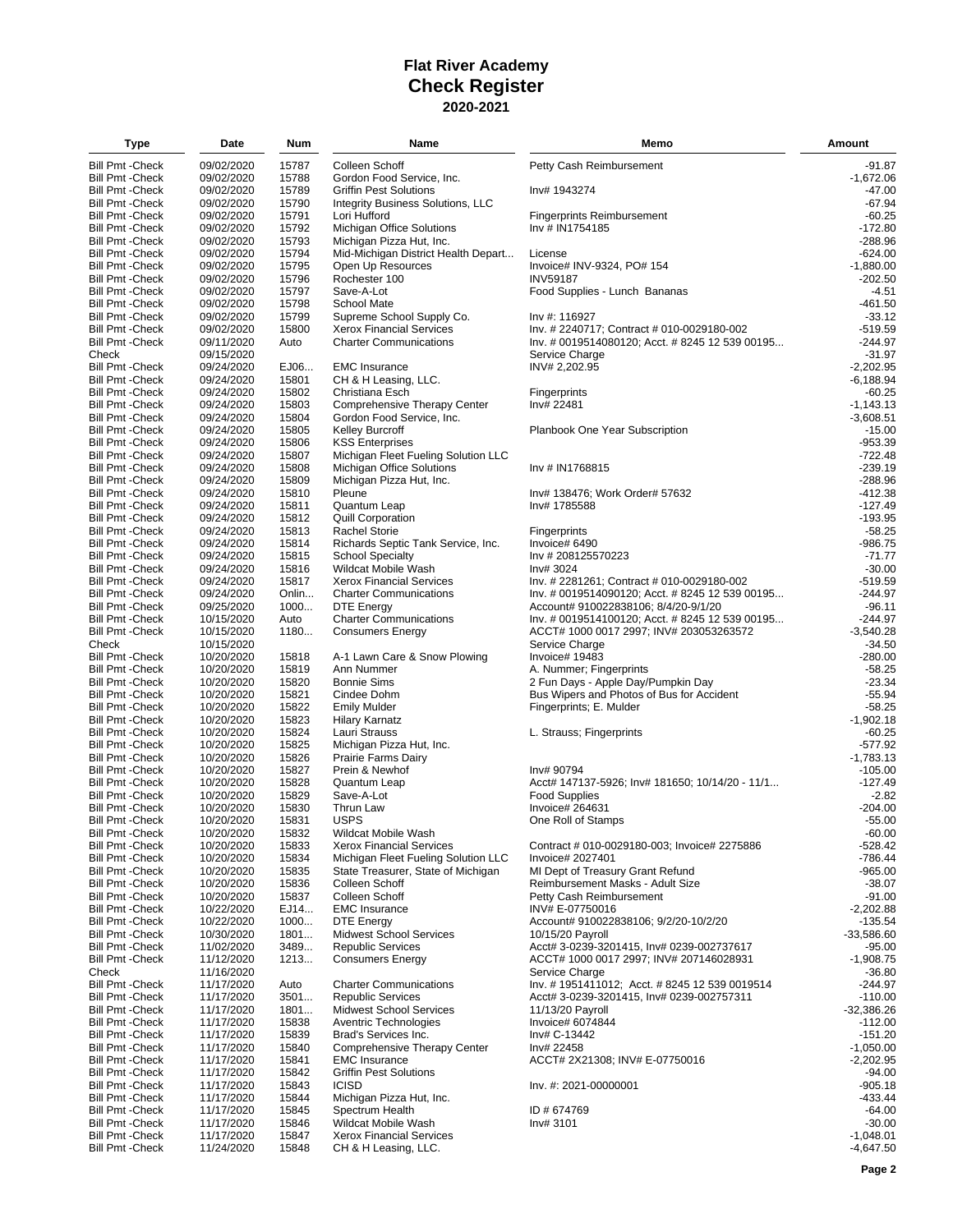| Type                                               | Date                     | Num            | Name                                                         | Memo                                                        | Amount                  |
|----------------------------------------------------|--------------------------|----------------|--------------------------------------------------------------|-------------------------------------------------------------|-------------------------|
| <b>Bill Pmt - Check</b>                            | 09/02/2020               | 15787          | Colleen Schoff                                               | Petty Cash Reimbursement                                    | $-91.87$                |
| <b>Bill Pmt - Check</b>                            | 09/02/2020               | 15788          | Gordon Food Service, Inc.                                    |                                                             | $-1,672.06$             |
| <b>Bill Pmt - Check</b>                            | 09/02/2020               | 15789          | <b>Griffin Pest Solutions</b>                                | Inv# 1943274                                                | $-47.00$                |
| Bill Pmt - Check                                   | 09/02/2020               | 15790          | Integrity Business Solutions, LLC                            |                                                             | $-67.94$                |
| <b>Bill Pmt - Check</b>                            | 09/02/2020               | 15791          | Lori Hufford                                                 | <b>Fingerprints Reimbursement</b>                           | $-60.25$                |
| <b>Bill Pmt - Check</b>                            | 09/02/2020               | 15792          | Michigan Office Solutions                                    | Inv # IN1754185                                             | $-172.80$               |
| Bill Pmt - Check                                   | 09/02/2020               | 15793          | Michigan Pizza Hut, Inc.                                     |                                                             | $-288.96$               |
| <b>Bill Pmt - Check</b>                            | 09/02/2020               | 15794          | Mid-Michigan District Health Depart                          | License                                                     | $-624.00$               |
| <b>Bill Pmt - Check</b>                            | 09/02/2020               | 15795          | Open Up Resources                                            | Invoice# INV-9324, PO# 154                                  | $-1,880.00$             |
| <b>Bill Pmt - Check</b>                            | 09/02/2020               | 15796          | Rochester 100                                                | <b>INV59187</b>                                             | $-202.50$               |
| <b>Bill Pmt - Check</b>                            | 09/02/2020               | 15797          | Save-A-Lot                                                   | Food Supplies - Lunch Bananas                               | -4.51                   |
| <b>Bill Pmt - Check</b>                            | 09/02/2020               | 15798          | School Mate                                                  |                                                             | $-461.50$               |
| <b>Bill Pmt - Check</b><br>Bill Pmt - Check        | 09/02/2020<br>09/02/2020 | 15799<br>15800 | Supreme School Supply Co.<br><b>Xerox Financial Services</b> | Inv #: 116927<br>Inv. # 2240717; Contract # 010-0029180-002 | $-33.12$<br>$-519.59$   |
| <b>Bill Pmt - Check</b>                            | 09/11/2020               | Auto           | <b>Charter Communications</b>                                | Inv. # 0019514080120; Acct. # 8245 12 539 00195             | $-244.97$               |
| Check                                              | 09/15/2020               |                |                                                              | Service Charge                                              | $-31.97$                |
| Bill Pmt - Check                                   | 09/24/2020               | EJ06           | <b>EMC</b> Insurance                                         | INV# 2,202.95                                               | $-2,202.95$             |
| <b>Bill Pmt - Check</b>                            | 09/24/2020               | 15801          | CH & H Leasing, LLC.                                         |                                                             | $-6,188.94$             |
| <b>Bill Pmt - Check</b>                            | 09/24/2020               | 15802          | Christiana Esch                                              | Fingerprints                                                | $-60.25$                |
| <b>Bill Pmt - Check</b>                            | 09/24/2020               | 15803          | Comprehensive Therapy Center                                 | Inv# 22481                                                  | $-1,143.13$             |
| Bill Pmt - Check                                   | 09/24/2020               | 15804          | Gordon Food Service, Inc.                                    |                                                             | $-3,608.51$             |
| <b>Bill Pmt - Check</b>                            | 09/24/2020               | 15805          | <b>Kelley Burcroff</b>                                       | Planbook One Year Subscription                              | $-15.00$                |
| <b>Bill Pmt - Check</b>                            | 09/24/2020               | 15806          | <b>KSS Enterprises</b>                                       |                                                             | $-953.39$               |
| Bill Pmt - Check                                   | 09/24/2020               | 15807          | Michigan Fleet Fueling Solution LLC                          |                                                             | -722.48                 |
| <b>Bill Pmt - Check</b>                            | 09/24/2020               | 15808          | <b>Michigan Office Solutions</b>                             | Inv # IN1768815                                             | $-239.19$               |
| <b>Bill Pmt - Check</b>                            | 09/24/2020               | 15809          | Michigan Pizza Hut, Inc.                                     |                                                             | $-288.96$               |
| Bill Pmt - Check                                   | 09/24/2020               | 15810          | Pleune                                                       | Inv# 138476; Work Order# 57632                              | -412.38                 |
| <b>Bill Pmt - Check</b>                            | 09/24/2020               | 15811          | Quantum Leap                                                 | Inv# 1785588                                                | $-127.49$               |
| Bill Pmt - Check<br><b>Bill Pmt - Check</b>        | 09/24/2020<br>09/24/2020 | 15812<br>15813 | <b>Quill Corporation</b><br><b>Rachel Storie</b>             | Fingerprints                                                | $-193.95$<br>$-58.25$   |
| <b>Bill Pmt - Check</b>                            | 09/24/2020               | 15814          | Richards Septic Tank Service, Inc.                           | Invoice# 6490                                               | $-986.75$               |
| <b>Bill Pmt - Check</b>                            | 09/24/2020               | 15815          | <b>School Specialty</b>                                      | Inv # 208125570223                                          | $-71.77$                |
| <b>Bill Pmt - Check</b>                            | 09/24/2020               | 15816          | <b>Wildcat Mobile Wash</b>                                   | Inv# 3024                                                   | $-30.00$                |
| <b>Bill Pmt - Check</b>                            | 09/24/2020               | 15817          | <b>Xerox Financial Services</b>                              | Inv. # 2281261; Contract # 010-0029180-002                  | $-519.59$               |
| <b>Bill Pmt - Check</b>                            | 09/24/2020               | Onlin          | <b>Charter Communications</b>                                | Inv. # 0019514090120; Acct. # 8245 12 539 00195             | $-244.97$               |
| <b>Bill Pmt - Check</b>                            | 09/25/2020               | 1000           | <b>DTE Energy</b>                                            | Account# 910022838106; 8/4/20-9/1/20                        | $-96.11$                |
| Bill Pmt - Check                                   | 10/15/2020               | Auto           | <b>Charter Communications</b>                                | lnv. # 0019514100120; Acct. # 8245 12 539 00195             | $-244.97$               |
| <b>Bill Pmt - Check</b>                            | 10/15/2020               | 1180           | <b>Consumers Energy</b>                                      | ACCT# 1000 0017 2997; INV# 203053263572                     | $-3,540.28$             |
| Check                                              | 10/15/2020               |                |                                                              | Service Charge                                              | $-34.50$                |
| <b>Bill Pmt - Check</b>                            | 10/20/2020               | 15818          | A-1 Lawn Care & Snow Plowing                                 | Invoice# 19483                                              | $-280.00$               |
| Bill Pmt - Check                                   | 10/20/2020               | 15819          | Ann Nummer                                                   | A. Nummer; Fingerprints                                     | $-58.25$                |
| <b>Bill Pmt - Check</b>                            | 10/20/2020               | 15820          | <b>Bonnie Sims</b>                                           | 2 Fun Days - Apple Day/Pumpkin Day                          | $-23.34$                |
| <b>Bill Pmt - Check</b>                            | 10/20/2020               | 15821          | Cindee Dohm                                                  | Bus Wipers and Photos of Bus for Accident                   | $-55.94$                |
| Bill Pmt - Check                                   | 10/20/2020               | 15822          | <b>Emily Mulder</b>                                          | Fingerprints; E. Mulder                                     | $-58.25$                |
| <b>Bill Pmt - Check</b><br><b>Bill Pmt - Check</b> | 10/20/2020<br>10/20/2020 | 15823<br>15824 | <b>Hilary Karnatz</b><br>Lauri Strauss                       | L. Strauss; Fingerprints                                    | $-1,902.18$<br>$-60.25$ |
| <b>Bill Pmt - Check</b>                            | 10/20/2020               | 15825          | Michigan Pizza Hut, Inc.                                     |                                                             | $-577.92$               |
| <b>Bill Pmt - Check</b>                            | 10/20/2020               | 15826          | Prairie Farms Dairy                                          |                                                             | -1,783.13               |
| <b>Bill Pmt - Check</b>                            | 10/20/2020               | 15827          | Prein & Newhof                                               | Inv# 90794                                                  | $-105.00$               |
| <b>Bill Pmt - Check</b>                            | 10/20/2020               | 15828          | Quantum Leap                                                 | Acct# 147137-5926; Inv# 181650; 10/14/20 - 11/1             | $-127.49$               |
| <b>Bill Pmt - Check</b>                            | 10/20/2020               | 15829          | Save-A-Lot                                                   | <b>Food Supplies</b>                                        | -2.82                   |
| <b>Bill Pmt - Check</b>                            | 10/20/2020               | 15830          | Thrun Law                                                    | Invoice# 264631                                             | $-204.00$               |
| <b>Bill Pmt - Check</b>                            | 10/20/2020               | 15831          | <b>USPS</b>                                                  | One Roll of Stamps                                          | $-55.00$                |
| <b>Bill Pmt - Check</b>                            | 10/20/2020               | 15832          | Wildcat Mobile Wash                                          |                                                             | $-60.00$                |
| <b>Bill Pmt - Check</b>                            | 10/20/2020               | 15833          | <b>Xerox Financial Services</b>                              | Contract # 010-0029180-003; Invoice# 2275886                | $-528.42$               |
| <b>Bill Pmt - Check</b>                            | 10/20/2020               | 15834          | Michigan Fleet Fueling Solution LLC                          | Invoice# 2027401                                            | -786.44                 |
| <b>Bill Pmt - Check</b>                            | 10/20/2020               | 15835          | State Treasurer, State of Michigan                           | MI Dept of Treasury Grant Refund                            | $-965.00$               |
| Bill Pmt - Check                                   | 10/20/2020               | 15836          | Colleen Schoff                                               | Reimbursement Masks - Adult Size                            | $-38.07$                |
| <b>Bill Pmt - Check</b><br><b>Bill Pmt - Check</b> | 10/20/2020<br>10/22/2020 | 15837<br>EJ14  | Colleen Schoff<br><b>EMC</b> Insurance                       | Petty Cash Reimbursement<br>INV# E-07750016                 | $-91.00$<br>$-2,202.88$ |
| <b>Bill Pmt - Check</b>                            | 10/22/2020               | 1000           | <b>DTE Energy</b>                                            | Account# 910022838106; 9/2/20-10/2/20                       | -135.54                 |
| <b>Bill Pmt - Check</b>                            | 10/30/2020               | 1801           | <b>Midwest School Services</b>                               | 10/15/20 Payroll                                            | $-33,586.60$            |
| <b>Bill Pmt - Check</b>                            | 11/02/2020               | 3489           | <b>Republic Services</b>                                     | Acct# 3-0239-3201415, Inv# 0239-002737617                   | $-95.00$                |
| <b>Bill Pmt - Check</b>                            | 11/12/2020               | 1213           | <b>Consumers Energy</b>                                      | ACCT# 1000 0017 2997; INV# 207146028931                     | $-1,908.75$             |
| Check                                              | 11/16/2020               |                |                                                              | Service Charge                                              | $-36.80$                |
| <b>Bill Pmt - Check</b>                            | 11/17/2020               | Auto           | <b>Charter Communications</b>                                | Inv. #1951411012; Acct. #8245 12 539 0019514                | $-244.97$               |
| Bill Pmt - Check                                   | 11/17/2020               | 3501           | <b>Republic Services</b>                                     | Acct# 3-0239-3201415, Inv# 0239-002757311                   | $-110.00$               |
| <b>Bill Pmt - Check</b>                            | 11/17/2020               | 1801           | <b>Midwest School Services</b>                               | 11/13/20 Payroll                                            | $-32,386.26$            |
| <b>Bill Pmt - Check</b>                            | 11/17/2020               | 15838          | Aventric Technologies                                        | Invoice# 6074844                                            | $-112.00$               |
| <b>Bill Pmt - Check</b>                            | 11/17/2020               | 15839          | Brad's Services Inc.                                         | Inv# C-13442                                                | $-151.20$               |
| Bill Pmt - Check                                   | 11/17/2020               | 15840          | Comprehensive Therapy Center                                 | Inv# 22458                                                  | $-1,050.00$             |
| <b>Bill Pmt - Check</b>                            | 11/17/2020               | 15841          | <b>EMC</b> Insurance                                         | ACCT# 2X21308; INV# E-07750016                              | $-2,202.95$             |
| <b>Bill Pmt - Check</b>                            | 11/17/2020               | 15842          | <b>Griffin Pest Solutions</b><br><b>ICISD</b>                |                                                             | $-94.00$<br>$-905.18$   |
| Bill Pmt -Check<br><b>Bill Pmt - Check</b>         | 11/17/2020<br>11/17/2020 | 15843<br>15844 | Michigan Pizza Hut, Inc.                                     | Inv. #: 2021-00000001                                       | $-433.44$               |
| <b>Bill Pmt - Check</b>                            | 11/17/2020               | 15845          | Spectrum Health                                              | ID # 674769                                                 | $-64.00$                |
| Bill Pmt - Check                                   | 11/17/2020               | 15846          | Wildcat Mobile Wash                                          | Inv# 3101                                                   | $-30.00$                |
| <b>Bill Pmt - Check</b>                            | 11/17/2020               | 15847          | <b>Xerox Financial Services</b>                              |                                                             | $-1,048.01$             |
| <b>Bill Pmt - Check</b>                            | 11/24/2020               | 15848          | CH & H Leasing, LLC.                                         |                                                             | $-4,647.50$             |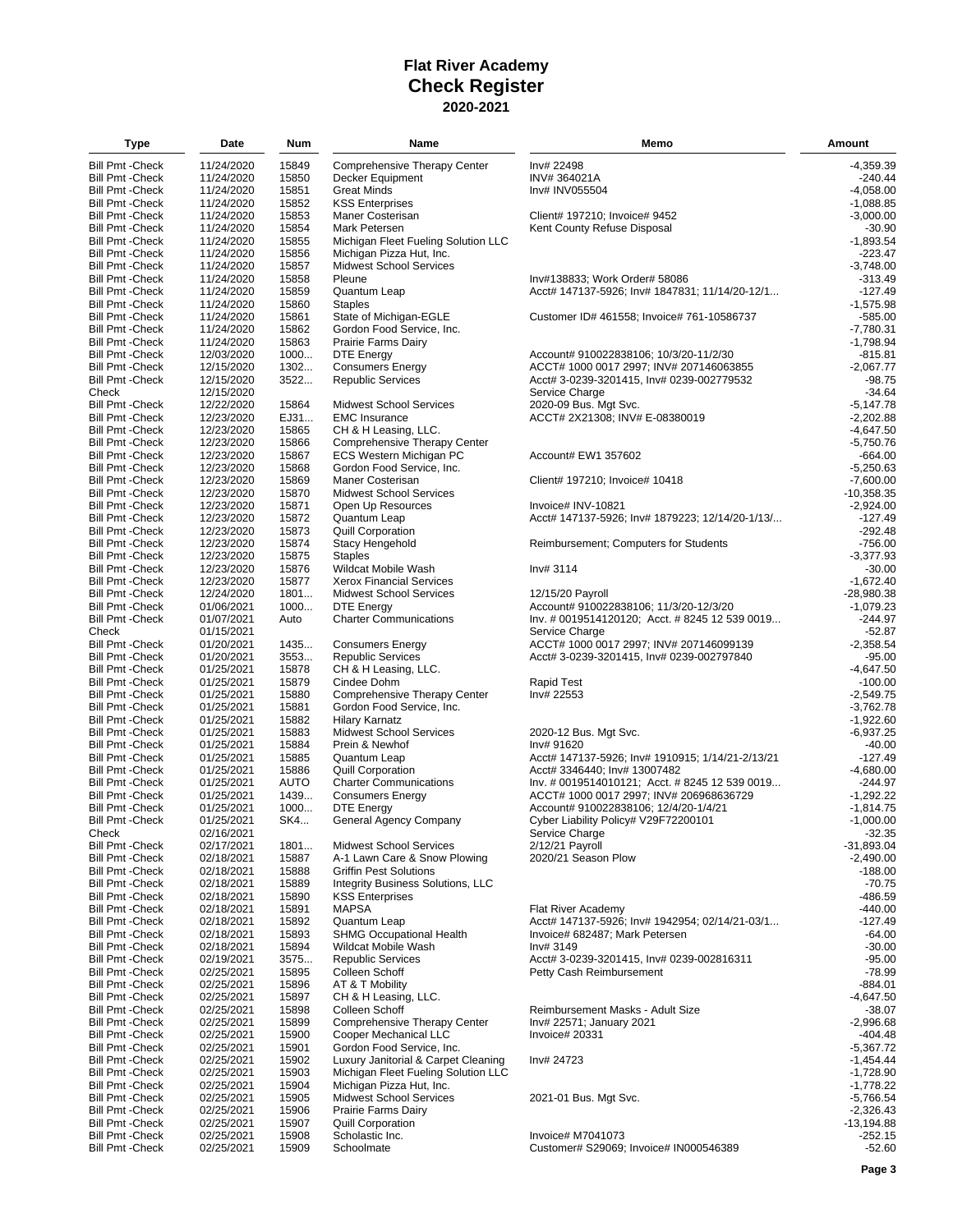| Type                                               | Date                     | Num            | Name                                               | Memo                                                    | <b>Amount</b>              |
|----------------------------------------------------|--------------------------|----------------|----------------------------------------------------|---------------------------------------------------------|----------------------------|
| <b>Bill Pmt - Check</b>                            | 11/24/2020               | 15849          | Comprehensive Therapy Center                       | Inv# 22498                                              | $-4,359.39$                |
| <b>Bill Pmt - Check</b>                            | 11/24/2020               | 15850          | Decker Equipment                                   | INV#364021A                                             | $-240.44$                  |
| <b>Bill Pmt - Check</b>                            | 11/24/2020               | 15851          | <b>Great Minds</b>                                 | Inv# INV055504                                          | $-4,058.00$                |
| <b>Bill Pmt - Check</b>                            | 11/24/2020               | 15852          | <b>KSS Enterprises</b>                             |                                                         | $-1,088.85$                |
| <b>Bill Pmt - Check</b>                            | 11/24/2020               | 15853          | Maner Costerisan                                   | Client# 197210; Invoice# 9452                           | $-3,000.00$                |
| <b>Bill Pmt - Check</b>                            | 11/24/2020               | 15854          | Mark Petersen                                      | Kent County Refuse Disposal                             | -30.90                     |
| <b>Bill Pmt - Check</b>                            | 11/24/2020               | 15855          | Michigan Fleet Fueling Solution LLC                |                                                         | $-1.893.54$                |
| <b>Bill Pmt - Check</b>                            | 11/24/2020               | 15856          | Michigan Pizza Hut, Inc.                           |                                                         | $-223.47$                  |
| <b>Bill Pmt - Check</b>                            | 11/24/2020               | 15857          | <b>Midwest School Services</b>                     |                                                         | $-3,748.00$                |
| <b>Bill Pmt - Check</b>                            | 11/24/2020               | 15858          | Pleune                                             | Inv#138833; Work Order# 58086                           | $-313.49$                  |
| <b>Bill Pmt - Check</b>                            | 11/24/2020               | 15859          | Quantum Leap                                       | Acct# 147137-5926; Inv# 1847831; 11/14/20-12/1          | $-127.49$                  |
| <b>Bill Pmt - Check</b>                            | 11/24/2020               | 15860          | <b>Staples</b>                                     |                                                         | $-1,575.98$                |
| <b>Bill Pmt - Check</b>                            | 11/24/2020               | 15861          | State of Michigan-EGLE                             | Customer ID# 461558; Invoice# 761-10586737              | $-585.00$                  |
| <b>Bill Pmt - Check</b>                            | 11/24/2020               | 15862          | Gordon Food Service, Inc.                          |                                                         | $-7,780.31$                |
| <b>Bill Pmt - Check</b>                            | 11/24/2020               | 15863          | Prairie Farms Dairy                                |                                                         | $-1,798.94$                |
| <b>Bill Pmt - Check</b>                            | 12/03/2020               | 1000           | DTE Energy                                         | Account# 910022838106; 10/3/20-11/2/30                  | -815.81                    |
| <b>Bill Pmt - Check</b>                            | 12/15/2020               | 1302           | <b>Consumers Energy</b>                            | ACCT# 1000 0017 2997; INV# 207146063855                 | $-2,067.77$                |
| <b>Bill Pmt - Check</b><br>Check                   | 12/15/2020               | 3522           | <b>Republic Services</b>                           | Acct# 3-0239-3201415, Inv# 0239-002779532               | $-98.75$                   |
|                                                    | 12/15/2020<br>12/22/2020 | 15864          | <b>Midwest School Services</b>                     | Service Charge                                          | $-34.64$<br>$-5,147.78$    |
| <b>Bill Pmt - Check</b><br><b>Bill Pmt - Check</b> | 12/23/2020               | EJ31           | <b>EMC Insurance</b>                               | 2020-09 Bus. Mgt Svc.<br>ACCT# 2X21308; INV# E-08380019 | $-2,202.88$                |
| <b>Bill Pmt - Check</b>                            | 12/23/2020               | 15865          | CH & H Leasing, LLC.                               |                                                         | $-4,647.50$                |
| <b>Bill Pmt - Check</b>                            | 12/23/2020               | 15866          | Comprehensive Therapy Center                       |                                                         | $-5,750.76$                |
| <b>Bill Pmt - Check</b>                            | 12/23/2020               | 15867          | ECS Western Michigan PC                            | Account# EW1 357602                                     | $-664.00$                  |
| <b>Bill Pmt - Check</b>                            | 12/23/2020               | 15868          | Gordon Food Service, Inc.                          |                                                         | $-5.250.63$                |
| <b>Bill Pmt - Check</b>                            | 12/23/2020               | 15869          | Maner Costerisan                                   | Client# 197210; Invoice# 10418                          | $-7,600.00$                |
| <b>Bill Pmt - Check</b>                            | 12/23/2020               | 15870          | <b>Midwest School Services</b>                     |                                                         | $-10,358.35$               |
| <b>Bill Pmt - Check</b>                            | 12/23/2020               | 15871          | Open Up Resources                                  | Invoice# INV-10821                                      | $-2,924.00$                |
| <b>Bill Pmt - Check</b>                            | 12/23/2020               | 15872          | Quantum Leap                                       | Acct# 147137-5926; Inv# 1879223; 12/14/20-1/13/         | $-127.49$                  |
| <b>Bill Pmt - Check</b>                            | 12/23/2020               | 15873          | <b>Quill Corporation</b>                           |                                                         | $-292.48$                  |
| <b>Bill Pmt - Check</b>                            | 12/23/2020               | 15874          | <b>Stacy Hengehold</b>                             | Reimbursement; Computers for Students                   | $-756.00$                  |
| <b>Bill Pmt - Check</b>                            | 12/23/2020               | 15875          | <b>Staples</b>                                     |                                                         | $-3,377.93$                |
| <b>Bill Pmt - Check</b>                            | 12/23/2020               | 15876          | Wildcat Mobile Wash                                | Inv# 3114                                               | $-30.00$                   |
| <b>Bill Pmt - Check</b>                            | 12/23/2020               | 15877          | <b>Xerox Financial Services</b>                    |                                                         | $-1,672.40$                |
| <b>Bill Pmt - Check</b>                            | 12/24/2020               | 1801           | <b>Midwest School Services</b>                     | 12/15/20 Payroll                                        | $-28,980.38$               |
| <b>Bill Pmt - Check</b>                            | 01/06/2021               | 1000           | <b>DTE Energy</b>                                  | Account# 910022838106; 11/3/20-12/3/20                  | $-1,079.23$                |
| <b>Bill Pmt - Check</b>                            | 01/07/2021               | Auto           | <b>Charter Communications</b>                      | Inv. # 0019514120120; Acct. # 8245 12 539 0019          | $-244.97$                  |
| Check                                              | 01/15/2021               |                |                                                    | Service Charge                                          | $-52.87$                   |
| <b>Bill Pmt - Check</b>                            | 01/20/2021               | 1435           | <b>Consumers Energy</b>                            | ACCT# 1000 0017 2997; INV# 207146099139                 | $-2,358.54$                |
| <b>Bill Pmt - Check</b>                            | 01/20/2021               | 3553           | <b>Republic Services</b>                           | Acct# 3-0239-3201415, Inv# 0239-002797840               | $-95.00$                   |
| <b>Bill Pmt - Check</b>                            | 01/25/2021               | 15878          | CH & H Leasing, LLC.                               |                                                         | $-4,647.50$                |
| <b>Bill Pmt - Check</b>                            | 01/25/2021               | 15879          | Cindee Dohm                                        | Rapid Test                                              | $-100.00$                  |
| <b>Bill Pmt - Check</b>                            | 01/25/2021               | 15880          | Comprehensive Therapy Center                       | Inv# 22553                                              | $-2,549.75$                |
| <b>Bill Pmt - Check</b>                            | 01/25/2021               | 15881          | Gordon Food Service, Inc.                          |                                                         | $-3,762.78$                |
| <b>Bill Pmt - Check</b>                            | 01/25/2021               | 15882          | <b>Hilary Karnatz</b>                              |                                                         | $-1,922.60$                |
| <b>Bill Pmt - Check</b><br><b>Bill Pmt - Check</b> | 01/25/2021<br>01/25/2021 | 15883<br>15884 | <b>Midwest School Services</b><br>Prein & Newhof   | 2020-12 Bus. Mgt Svc.<br>Inv# 91620                     | $-6,937.25$<br>$-40.00$    |
| <b>Bill Pmt - Check</b>                            | 01/25/2021               | 15885          | Quantum Leap                                       | Acct# 147137-5926; Inv# 1910915; 1/14/21-2/13/21        | $-127.49$                  |
| <b>Bill Pmt - Check</b>                            | 01/25/2021               | 15886          | Quill Corporation                                  | Acct# 3346440; Inv# 13007482                            | $-4,680.00$                |
| <b>Bill Pmt - Check</b>                            | 01/25/2021               | <b>AUTO</b>    | <b>Charter Communications</b>                      | Inv. # 0019514010121; Acct. # 8245 12 539 0019          | $-244.97$                  |
| <b>Bill Pmt - Check</b>                            | 01/25/2021               | 1439           | <b>Consumers Energy</b>                            | ACCT# 1000 0017 2997; INV# 206968636729                 | $-1,292.22$                |
| <b>Bill Pmt - Check</b>                            | 01/25/2021               | 1000           | <b>DTE Energy</b>                                  | Account# 910022838106; 12/4/20-1/4/21                   | $-1,814.75$                |
| <b>Bill Pmt - Check</b>                            | 01/25/2021               | SK4            | General Agency Company                             | Cyber Liability Policy# V29F72200101                    | $-1.000.00$                |
| Check                                              | 02/16/2021               |                |                                                    | Service Charge                                          | $-32.35$                   |
| <b>Bill Pmt - Check</b>                            | 02/17/2021               | 1801           | <b>Midwest School Services</b>                     | 2/12/21 Payroll                                         | $-31,893.04$               |
| <b>Bill Pmt - Check</b>                            | 02/18/2021               | 15887          | A-1 Lawn Care & Snow Plowing                       | 2020/21 Season Plow                                     | $-2,490.00$                |
| <b>Bill Pmt - Check</b>                            | 02/18/2021               | 15888          | <b>Griffin Pest Solutions</b>                      |                                                         | $-188.00$                  |
| <b>Bill Pmt - Check</b>                            | 02/18/2021               | 15889          | <b>Integrity Business Solutions, LLC</b>           |                                                         | $-70.75$                   |
| <b>Bill Pmt - Check</b>                            | 02/18/2021               | 15890          | <b>KSS Enterprises</b>                             |                                                         | -486.59                    |
| <b>Bill Pmt - Check</b>                            | 02/18/2021               | 15891          | <b>MAPSA</b>                                       | Flat River Academy                                      | -440.00                    |
| <b>Bill Pmt - Check</b>                            | 02/18/2021               | 15892          | Quantum Leap                                       | Acct# 147137-5926; Inv# 1942954; 02/14/21-03/1          | $-127.49$                  |
| <b>Bill Pmt - Check</b>                            | 02/18/2021               | 15893          | <b>SHMG Occupational Health</b>                    | Invoice# 682487; Mark Petersen                          | $-64.00$                   |
| <b>Bill Pmt - Check</b>                            | 02/18/2021               | 15894          | Wildcat Mobile Wash                                | Inv# 3149                                               | $-30.00$                   |
| <b>Bill Pmt - Check</b>                            | 02/19/2021               | 3575           | <b>Republic Services</b>                           | Acct# 3-0239-3201415, Inv# 0239-002816311               | $-95.00$                   |
| <b>Bill Pmt - Check</b>                            | 02/25/2021               | 15895          | Colleen Schoff                                     | Petty Cash Reimbursement                                | $-78.99$                   |
| <b>Bill Pmt - Check</b>                            | 02/25/2021               | 15896          | AT & T Mobility                                    |                                                         | -884.01                    |
| <b>Bill Pmt - Check</b>                            | 02/25/2021               | 15897          | CH & H Leasing, LLC.                               |                                                         | $-4,647.50$                |
| <b>Bill Pmt - Check</b>                            | 02/25/2021               | 15898          | Colleen Schoff                                     | Reimbursement Masks - Adult Size                        | $-38.07$                   |
| <b>Bill Pmt - Check</b>                            | 02/25/2021               | 15899          | Comprehensive Therapy Center                       | Inv# 22571; January 2021                                | $-2,996.68$                |
| <b>Bill Pmt - Check</b>                            | 02/25/2021               | 15900          | Cooper Mechanical LLC<br>Gordon Food Service, Inc. | Invoice# 20331                                          | -404.48                    |
| <b>Bill Pmt - Check</b><br><b>Bill Pmt - Check</b> | 02/25/2021<br>02/25/2021 | 15901<br>15902 | Luxury Janitorial & Carpet Cleaning                |                                                         | $-5,367.72$<br>$-1,454.44$ |
| <b>Bill Pmt - Check</b>                            | 02/25/2021               | 15903          | Michigan Fleet Fueling Solution LLC                | Inv# 24723                                              | $-1,728.90$                |
| <b>Bill Pmt - Check</b>                            | 02/25/2021               | 15904          | Michigan Pizza Hut, Inc.                           |                                                         | $-1,778.22$                |
| <b>Bill Pmt - Check</b>                            | 02/25/2021               | 15905          | <b>Midwest School Services</b>                     | 2021-01 Bus. Mgt Svc.                                   | $-5,766.54$                |
| <b>Bill Pmt - Check</b>                            | 02/25/2021               | 15906          | Prairie Farms Dairy                                |                                                         | $-2,326.43$                |
| <b>Bill Pmt - Check</b>                            | 02/25/2021               | 15907          | <b>Quill Corporation</b>                           |                                                         | $-13,194.88$               |
| <b>Bill Pmt - Check</b>                            | 02/25/2021               | 15908          | Scholastic Inc.                                    | Invoice# M7041073                                       | $-252.15$                  |
| <b>Bill Pmt - Check</b>                            | 02/25/2021               | 15909          | Schoolmate                                         | Customer# S29069; Invoice# IN000546389                  | $-52.60$                   |
|                                                    |                          |                |                                                    |                                                         |                            |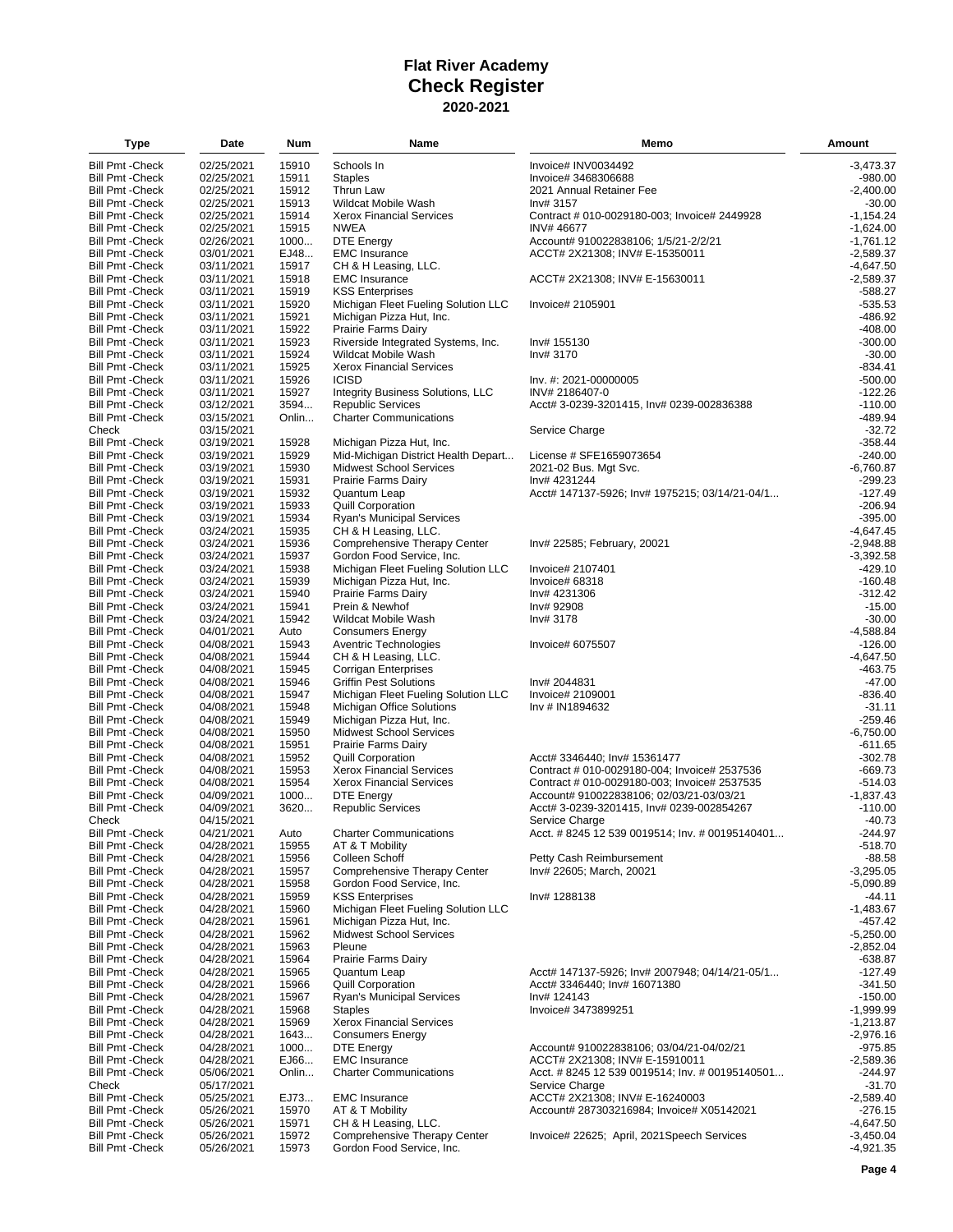| Type                    | Date       | Num   | Name                                | Memo                                            | Amount      |
|-------------------------|------------|-------|-------------------------------------|-------------------------------------------------|-------------|
| <b>Bill Pmt - Check</b> | 02/25/2021 | 15910 | Schools In                          | Invoice# INV0034492                             | $-3,473.37$ |
| <b>Bill Pmt - Check</b> | 02/25/2021 | 15911 | <b>Staples</b>                      | Invoice# 3468306688                             | $-980.00$   |
| <b>Bill Pmt - Check</b> | 02/25/2021 | 15912 | <b>Thrun Law</b>                    | 2021 Annual Retainer Fee                        | $-2.400.00$ |
| <b>Bill Pmt - Check</b> | 02/25/2021 | 15913 | Wildcat Mobile Wash                 | Inv# 3157                                       | -30.00      |
| <b>Bill Pmt - Check</b> | 02/25/2021 | 15914 | <b>Xerox Financial Services</b>     | Contract # 010-0029180-003; Invoice# 2449928    | $-1,154.24$ |
| <b>Bill Pmt - Check</b> | 02/25/2021 | 15915 | <b>NWEA</b>                         | INV#46677                                       | $-1.624.00$ |
| <b>Bill Pmt - Check</b> | 02/26/2021 | 1000  | <b>DTE Energy</b>                   | Account# 910022838106; 1/5/21-2/2/21            | $-1,761.12$ |
| <b>Bill Pmt - Check</b> | 03/01/2021 | EJ48  | <b>EMC</b> Insurance                | ACCT# 2X21308; INV# E-15350011                  | $-2,589.37$ |
| <b>Bill Pmt - Check</b> | 03/11/2021 | 15917 | CH & H Leasing, LLC.                |                                                 | $-4,647.50$ |
| <b>Bill Pmt - Check</b> | 03/11/2021 | 15918 | <b>EMC</b> Insurance                | ACCT# 2X21308; INV# E-15630011                  | $-2,589.37$ |
| <b>Bill Pmt - Check</b> | 03/11/2021 | 15919 | <b>KSS Enterprises</b>              |                                                 | -588.27     |
| <b>Bill Pmt - Check</b> | 03/11/2021 | 15920 | Michigan Fleet Fueling Solution LLC | Invoice# 2105901                                | $-535.53$   |
| <b>Bill Pmt - Check</b> | 03/11/2021 | 15921 | Michigan Pizza Hut, Inc.            |                                                 | $-486.92$   |
| <b>Bill Pmt - Check</b> | 03/11/2021 | 15922 | Prairie Farms Dairy                 |                                                 | -408.00     |
| <b>Bill Pmt - Check</b> | 03/11/2021 | 15923 | Riverside Integrated Systems, Inc.  | Inv# 155130                                     | $-300.00$   |
| <b>Bill Pmt - Check</b> | 03/11/2021 | 15924 | <b>Wildcat Mobile Wash</b>          | Inv# 3170                                       | $-30.00$    |
| <b>Bill Pmt - Check</b> | 03/11/2021 | 15925 | <b>Xerox Financial Services</b>     |                                                 | $-834.41$   |
| <b>Bill Pmt - Check</b> | 03/11/2021 | 15926 | <b>ICISD</b>                        | Inv. #: 2021-00000005                           | $-500.00$   |
| <b>Bill Pmt - Check</b> | 03/11/2021 | 15927 | Integrity Business Solutions, LLC   | INV# 2186407-0                                  | $-122.26$   |
| <b>Bill Pmt - Check</b> | 03/12/2021 | 3594  | <b>Republic Services</b>            | Acct# 3-0239-3201415, Inv# 0239-002836388       | $-110.00$   |
| <b>Bill Pmt - Check</b> | 03/15/2021 | Onlin | <b>Charter Communications</b>       |                                                 | $-489.94$   |
|                         |            |       |                                     |                                                 | $-32.72$    |
| Check                   | 03/15/2021 |       |                                     | Service Charge                                  |             |
| <b>Bill Pmt - Check</b> | 03/19/2021 | 15928 | Michigan Pizza Hut, Inc.            |                                                 | $-358.44$   |
| <b>Bill Pmt - Check</b> | 03/19/2021 | 15929 | Mid-Michigan District Health Depart | License # SFE1659073654                         | $-240.00$   |
| <b>Bill Pmt - Check</b> | 03/19/2021 | 15930 | <b>Midwest School Services</b>      | 2021-02 Bus. Mgt Svc.                           | $-6,760.87$ |
| <b>Bill Pmt - Check</b> | 03/19/2021 | 15931 | Prairie Farms Dairy                 | Inv# 4231244                                    | $-299.23$   |
| <b>Bill Pmt - Check</b> | 03/19/2021 | 15932 | Quantum Leap                        | Acct# 147137-5926; Inv# 1975215; 03/14/21-04/1  | $-127.49$   |
| <b>Bill Pmt - Check</b> | 03/19/2021 | 15933 | <b>Quill Corporation</b>            |                                                 | $-206.94$   |
| <b>Bill Pmt - Check</b> | 03/19/2021 | 15934 | Ryan's Municipal Services           |                                                 | $-395.00$   |
| <b>Bill Pmt - Check</b> | 03/24/2021 | 15935 | CH & H Leasing, LLC.                |                                                 | $-4.647.45$ |
| <b>Bill Pmt - Check</b> | 03/24/2021 | 15936 | Comprehensive Therapy Center        | Inv# 22585; February, 20021                     | $-2,948.88$ |
| <b>Bill Pmt - Check</b> | 03/24/2021 | 15937 | Gordon Food Service, Inc.           |                                                 | $-3,392.58$ |
| <b>Bill Pmt - Check</b> | 03/24/2021 | 15938 | Michigan Fleet Fueling Solution LLC | Invoice# 2107401                                | $-429.10$   |
| <b>Bill Pmt - Check</b> | 03/24/2021 | 15939 | Michigan Pizza Hut, Inc.            | Invoice# 68318                                  | $-160.48$   |
| <b>Bill Pmt - Check</b> | 03/24/2021 | 15940 | Prairie Farms Dairy                 | Inv# 4231306                                    | $-312.42$   |
| <b>Bill Pmt - Check</b> | 03/24/2021 | 15941 | Prein & Newhof                      | Inv# 92908                                      | $-15.00$    |
| <b>Bill Pmt - Check</b> | 03/24/2021 | 15942 | Wildcat Mobile Wash                 | Inv# 3178                                       | $-30.00$    |
| <b>Bill Pmt - Check</b> | 04/01/2021 | Auto  | <b>Consumers Energy</b>             |                                                 | $-4,588.84$ |
| <b>Bill Pmt - Check</b> | 04/08/2021 | 15943 | Aventric Technologies               | Invoice# 6075507                                | $-126.00$   |
| <b>Bill Pmt - Check</b> | 04/08/2021 | 15944 | CH & H Leasing, LLC.                |                                                 | $-4,647.50$ |
| <b>Bill Pmt - Check</b> | 04/08/2021 | 15945 | Corrigan Enterprises                |                                                 | -463.75     |
| <b>Bill Pmt - Check</b> | 04/08/2021 | 15946 | <b>Griffin Pest Solutions</b>       | Inv# 2044831                                    | $-47.00$    |
| <b>Bill Pmt - Check</b> | 04/08/2021 | 15947 | Michigan Fleet Fueling Solution LLC | Invoice# 2109001                                | $-836.40$   |
| <b>Bill Pmt - Check</b> | 04/08/2021 | 15948 | Michigan Office Solutions           | Inv # IN1894632                                 | -31.11      |
| <b>Bill Pmt - Check</b> | 04/08/2021 | 15949 | Michigan Pizza Hut, Inc.            |                                                 | $-259.46$   |
| <b>Bill Pmt - Check</b> | 04/08/2021 | 15950 | <b>Midwest School Services</b>      |                                                 | $-6,750.00$ |
| <b>Bill Pmt - Check</b> | 04/08/2021 | 15951 | Prairie Farms Dairy                 |                                                 | $-611.65$   |
| <b>Bill Pmt - Check</b> | 04/08/2021 | 15952 | <b>Quill Corporation</b>            | Acct# 3346440; Inv# 15361477                    | $-302.78$   |
| <b>Bill Pmt - Check</b> | 04/08/2021 | 15953 | <b>Xerox Financial Services</b>     | Contract # 010-0029180-004; Invoice# 2537536    | $-669.73$   |
| <b>Bill Pmt - Check</b> | 04/08/2021 | 15954 | <b>Xerox Financial Services</b>     | Contract # 010-0029180-003; Invoice# 2537535    | $-514.03$   |
| <b>Bill Pmt - Check</b> | 04/09/2021 | 1000  | DTE Energy                          | Account# 910022838106; 02/03/21-03/03/21        | $-1,837.43$ |
| <b>Bill Pmt - Check</b> | 04/09/2021 | 3620  | <b>Republic Services</b>            | Acct# 3-0239-3201415, Inv# 0239-002854267       | $-110.00$   |
| Check                   | 04/15/2021 |       |                                     | Service Charge                                  | $-40.73$    |
| Bill Pmt - Check        | 04/21/2021 | Auto  | <b>Charter Communications</b>       | Acct. # 8245 12 539 0019514; Inv. # 00195140401 | $-244.97$   |
| <b>Bill Pmt - Check</b> | 04/28/2021 | 15955 | AT & T Mobility                     |                                                 | $-518.70$   |
| <b>Bill Pmt - Check</b> | 04/28/2021 | 15956 | Colleen Schoff                      | Petty Cash Reimbursement                        | $-88.58$    |
| <b>Bill Pmt - Check</b> | 04/28/2021 | 15957 | Comprehensive Therapy Center        | Inv# 22605; March, 20021                        | $-3,295.05$ |
| <b>Bill Pmt - Check</b> | 04/28/2021 | 15958 | Gordon Food Service, Inc.           |                                                 | $-5,090.89$ |
| <b>Bill Pmt - Check</b> | 04/28/2021 | 15959 | <b>KSS Enterprises</b>              | Inv# 1288138                                    | -44.11      |
| <b>Bill Pmt - Check</b> | 04/28/2021 | 15960 | Michigan Fleet Fueling Solution LLC |                                                 | $-1,483.67$ |
| <b>Bill Pmt - Check</b> | 04/28/2021 | 15961 | Michigan Pizza Hut, Inc.            |                                                 | -457.42     |
| <b>Bill Pmt - Check</b> | 04/28/2021 | 15962 | <b>Midwest School Services</b>      |                                                 | $-5,250.00$ |
| <b>Bill Pmt - Check</b> | 04/28/2021 | 15963 | Pleune                              |                                                 | $-2,852.04$ |
| <b>Bill Pmt - Check</b> | 04/28/2021 | 15964 | Prairie Farms Dairy                 |                                                 | -638.87     |
| <b>Bill Pmt - Check</b> | 04/28/2021 | 15965 | Quantum Leap                        | Acct# 147137-5926; Inv# 2007948; 04/14/21-05/1  | $-127.49$   |
| <b>Bill Pmt - Check</b> | 04/28/2021 | 15966 | <b>Quill Corporation</b>            | Acct# 3346440; Inv# 16071380                    | $-341.50$   |
| <b>Bill Pmt - Check</b> | 04/28/2021 | 15967 | <b>Ryan's Municipal Services</b>    | Inv# 124143                                     | $-150.00$   |
| <b>Bill Pmt - Check</b> | 04/28/2021 | 15968 | <b>Staples</b>                      | Invoice# 3473899251                             | $-1,999.99$ |
| <b>Bill Pmt - Check</b> | 04/28/2021 | 15969 | <b>Xerox Financial Services</b>     |                                                 | $-1,213.87$ |
| <b>Bill Pmt - Check</b> | 04/28/2021 | 1643  | <b>Consumers Energy</b>             |                                                 | $-2,976.16$ |
| <b>Bill Pmt - Check</b> | 04/28/2021 | 1000  | DTE Energy                          | Account# 910022838106; 03/04/21-04/02/21        | $-975.85$   |
| <b>Bill Pmt - Check</b> | 04/28/2021 | EJ66  | <b>EMC</b> Insurance                | ACCT# 2X21308; INV# E-15910011                  | $-2,589.36$ |
|                         |            | Onlin |                                     |                                                 |             |
| <b>Bill Pmt - Check</b> | 05/06/2021 |       | <b>Charter Communications</b>       | Acct. #8245 12 539 0019514; Inv. #00195140501   | $-244.97$   |
| Check                   | 05/17/2021 |       |                                     | Service Charge                                  | $-31.70$    |
| <b>Bill Pmt - Check</b> | 05/25/2021 | EJ73  | <b>EMC</b> Insurance                | ACCT# 2X21308; INV# E-16240003                  | $-2,589.40$ |
| <b>Bill Pmt - Check</b> | 05/26/2021 | 15970 | AT & T Mobility                     | Account# 287303216984; Invoice# X05142021       | $-276.15$   |
| <b>Bill Pmt - Check</b> | 05/26/2021 | 15971 | CH & H Leasing, LLC.                |                                                 | $-4,647.50$ |
| <b>Bill Pmt - Check</b> | 05/26/2021 | 15972 | Comprehensive Therapy Center        | Invoice# 22625; April, 2021Speech Services      | $-3,450.04$ |
| <b>Bill Pmt - Check</b> | 05/26/2021 | 15973 | Gordon Food Service, Inc.           |                                                 | $-4,921.35$ |